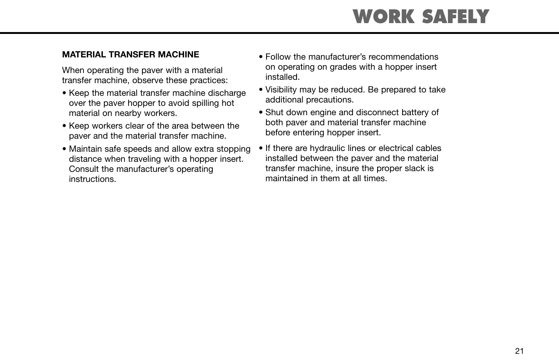## **WORK SAFELY**

#### **MATERIAL TRANSFER MACHINE**

When operating the paver with a material transfer machine, observe these practices:

- Keep the material transfer machine discharge over the paver hopper to avoid spilling hot material on nearby workers.
- Keep workers clear of the area between the paver and the material transfer machine.
- Maintain safe speeds and allow extra stopping distance when traveling with a hopper insert. Consult the manufacturer's operating instructions.
- Follow the manufacturer's recommendations on operating on grades with a hopper insert installed.
- Visibility may be reduced. Be prepared to take additional precautions.
- Shut down engine and disconnect battery of both paver and material transfer machine before entering hopper insert.
- If there are hydraulic lines or electrical cables installed between the paver and the material transfer machine, insure the proper slack is maintained in them at all times.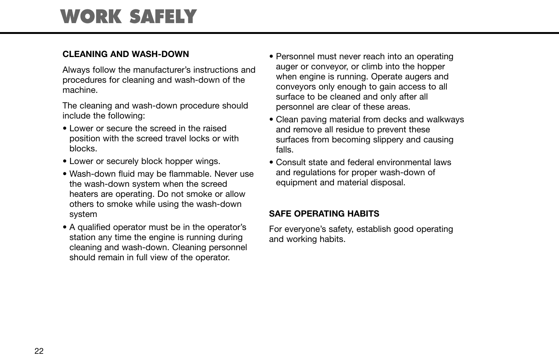### **WORK SAFELY**

#### **CLEANING AND WASH-DOWN**

Always follow the manufacturer's instructions and procedures for cleaning and wash-down of the machine.

The cleaning and wash-down procedure should include the following:

- Lower or secure the screed in the raised position with the screed travel locks or with blocks.
- Lower or securely block hopper wings.
- Wash-down fluid may be flammable. Never use the wash-down system when the screed heaters are operating. Do not smoke or allow others to smoke while using the wash-down system
- A qualified operator must be in the operator's station any time the engine is running during cleaning and wash-down. Cleaning personnel should remain in full view of the operator.
- Personnel must never reach into an operating auger or conveyor, or climb into the hopper when engine is running. Operate augers and conveyors only enough to gain access to all surface to be cleaned and only after all personnel are clear of these areas.
- Clean paving material from decks and walkways and remove all residue to prevent these surfaces from becoming slippery and causing falls.
- Consult state and federal environmental laws and regulations for proper wash-down of equipment and material disposal.

#### **SAFE OPERATING HABITS**

For everyone's safety, establish good operating and working habits.